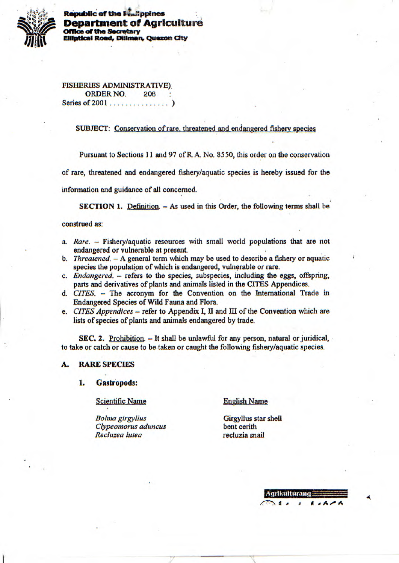

**Republic of the Faulippines Department of Agriculture Office of the Secretary** Elliptical Road, Diliman, Quezon City

**FISHERIES ADMINISTRATIVE) ORDER NO.** 208 Series of 2001.............

SUBJECT: Conservation of rare, threatened and endangered fishery species

Pursuant to Sections 11 and 97 of R.A. No. 8550, this order on the conservation

of rare, threatened and endangered fishery/aquatic species is hereby issued for the

information and guidance of all concerned.

SECTION 1. Definition. - As used in this Order, the following terms shall be

# construed as:

- a. Rare. Fishery/aquatic resources with small world populations that are not endangered or vulnerable at present.
- b. Threatened. A general term which may be used to describe a fishery or aquatic species the population of which is endangered, vulnerable or rare.
- c. Endangered. refers to the species, subspecies, including the eggs, offspring, parts and derivatives of plants and animals listed in the CITES Appendices.
- d. CITES. The acronym for the Convention on the International Trade in Endangered Species of Wild Fauna and Flora.
- e. CITES Appendices refer to Appendix I, II and III of the Convention which are lists of species of plants and animals endangered by trade.

SEC. 2. Prohibition.  $-$  It shall be unlawful for any person, natural or juridical, to take or catch or cause to be taken or caught the following fishery/aquatic species.

### **RARE SPECIES**

#### **Gastropods:** 1.

**Scientific Name** 

**English Name** 

**Bolma** girgyllus Clypeomorus aduncus Recluzea lutea

Girgyllus star shell bent cerith recluzia snail

> Agrikulturano  $A$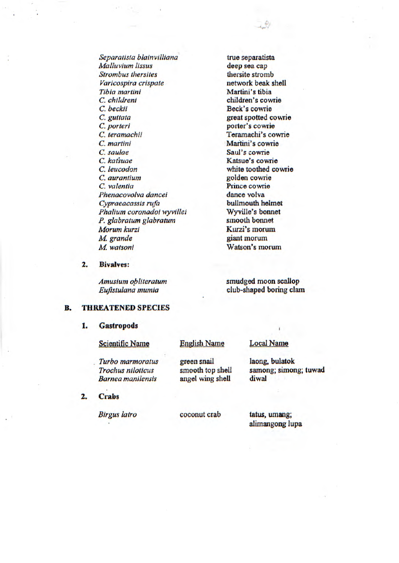*Separalista b/a/n villiana* true separatista *Ma//u v/urn lissus* deep sea cap **Strombus thersites thersite stromb** *Varicospira cr/spate* network beak shell *Tibia martini* **Martini's tibia** *C. childreni* **children's cowrie**<br> *C. beckii* **Beck's cowrie** *C. guttata* great spotted cowrie *C. porteri* porter's cowrie *C. teramachii* Teramachi's cowrie *C. martini* Martini's cowrie *C. saulae* **Saul's cowrie**<br> *C. katsuae* **Saul's C. Katsue's cown** *C. leucodon white* toothed cowrie *C. valentia Prince cowrie Phenacovolva dancei* dance volva<br> *Cypraeacassis rufa* bullmouth helmet *Cypraeacassis rufa Phalium coronadol wyvillei* Wyville's bonnet<br> *P. glabratum glabratum* smooth bonnet *P. glabratum glabratum Morum kurzi Kurzi's morurn M watsoni* Watson's morum

Beck's cowrie **Katsue's cowrie** golden cowrie *M. grande* giant inorum

*Amusium obliteratum* **smudged moon scallop** *EuJIstulana mum/a* club-shaped boring clam

## **B. THREATENED SPECIES**

### **1. Gastropods**

**2. Bivalves:** 

| <b>Scientific Name</b>                                                   | <b>English Name</b>                                 | <b>Local Name</b>                                |
|--------------------------------------------------------------------------|-----------------------------------------------------|--------------------------------------------------|
| Turbo marmoratus<br><b>Trochus niloticus</b><br><b>Barnea</b> manilensis | green snail<br>smooth top shell<br>angel wing shell | laong, bulatok<br>samong; simong; tuwad<br>diwal |
| <b>Crabs</b>                                                             |                                                     |                                                  |

**2.** 

*Birgus latro coconut* crab tatus, umang; alimangong lupa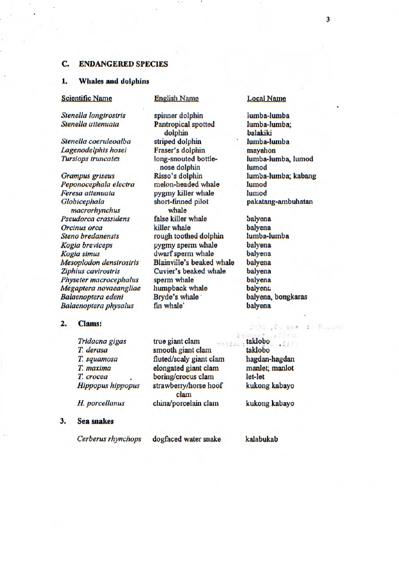# **C. ENDANGERED SPECIES**

# **1. Whales and dolphins**

# Scientific Name English Name Local Name

spinner dolphin

*Sten el/a ion girostris Steneila attenuata* 

*Si'eneila coerulcoalba Lagenodeiphis hosci Tursiops truncate's* 

*Grampus griseus*  Peponocephala electra *Feresa attenuata Glob icephala rnacrorhynch us Pseudorca crassidens Orcinus orca Steno bredanensis Kogia bre viceps Kogia simus Mesoplodon densirostris Zip/iius cavirostris Physeter macrocephalus Megaptera novaeangliae Balaenoptera edeni Balaenoptera physalus* 

### **2. Clams:**

*Tridacna gigas T derasa T squamosa T maxima T. crocca Hipp opus hippopus* 

*H. porceilanus* 

#### **3. Sea snakes**

Pantropical spotted dolphin striped dolphin Fraser's dolphin long-snouted bottlenose dolphin Risso's dolphin melon-headed whale pygmy killer whale short-finned pilot whale false killer whale killer whale rough toothed dolphin pygmy sperm whale dwarf sperm whale Blainville's beaked whale Cuvier's beaked whale sperm whale humpback whale Bryde's whale fin whale'

lumba-lumba lumba-lumba; balakiki lumba-lumba mayahon lumba-lumba, lumod lurnod lumba-lumba; kabang lumod lurnod pakatang-ambuhatan

balyena balyena lumba-lumba baiyena balyena balyena balyena balyena balyena balyena, bongkaras balyena

taklobo takiobo hagdan-hagdan manlet; manlot let-let kukong kabayo 1 Possilla

IMDE LA

kukong kabayo

Cerberus rhynchops dogfaced water snake kalabukab

true giant clam smooth giant clam fluted/scaly giant clam elongated giant clam boring/crocus clam strawberry/horse hoof clam china/porcelain clam